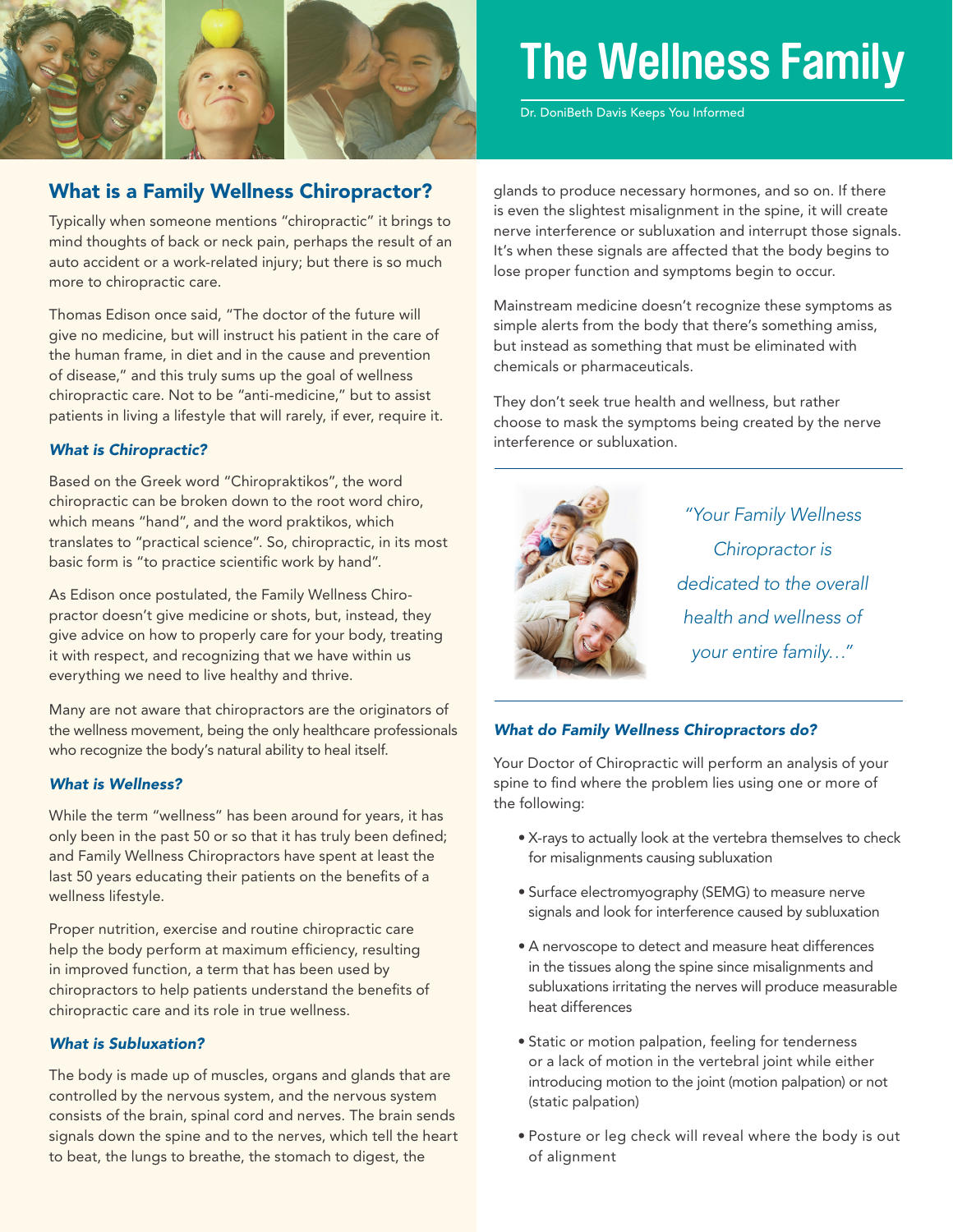

# **The Wellness Family**

Dr. DoniBeth Davis Keeps You Informed

## What is a Family Wellness Chiropractor?

Typically when someone mentions "chiropractic" it brings to mind thoughts of back or neck pain, perhaps the result of an auto accident or a work-related injury; but there is so much more to chiropractic care.

Thomas Edison once said, "The doctor of the future will give no medicine, but will instruct his patient in the care of the human frame, in diet and in the cause and prevention of disease," and this truly sums up the goal of wellness chiropractic care. Not to be "anti-medicine," but to assist patients in living a lifestyle that will rarely, if ever, require it.

### *What is Chiropractic?*

Based on the Greek word "Chiropraktikos", the word chiropractic can be broken down to the root word chiro, which means "hand", and the word praktikos, which translates to "practical science". So, chiropractic, in its most basic form is "to practice scientific work by hand".

As Edison once postulated, the Family Wellness Chiropractor doesn't give medicine or shots, but, instead, they give advice on how to properly care for your body, treating it with respect, and recognizing that we have within us everything we need to live healthy and thrive.

Many are not aware that chiropractors are the originators of the wellness movement, being the only healthcare professionals who recognize the body's natural ability to heal itself.

### *What is Wellness?*

While the term "wellness" has been around for years, it has only been in the past 50 or so that it has truly been defined; and Family Wellness Chiropractors have spent at least the last 50 years educating their patients on the benefits of a wellness lifestyle.

Proper nutrition, exercise and routine chiropractic care help the body perform at maximum efficiency, resulting in improved function, a term that has been used by chiropractors to help patients understand the benefits of chiropractic care and its role in true wellness.

## *What is Subluxation?*

The body is made up of muscles, organs and glands that are controlled by the nervous system, and the nervous system consists of the brain, spinal cord and nerves. The brain sends signals down the spine and to the nerves, which tell the heart to beat, the lungs to breathe, the stomach to digest, the

glands to produce necessary hormones, and so on. If there is even the slightest misalignment in the spine, it will create nerve interference or subluxation and interrupt those signals. It's when these signals are affected that the body begins to lose proper function and symptoms begin to occur.

Mainstream medicine doesn't recognize these symptoms as simple alerts from the body that there's something amiss, but instead as something that must be eliminated with chemicals or pharmaceuticals.

They don't seek true health and wellness, but rather choose to mask the symptoms being created by the nerve interference or subluxation.



*"Your Family Wellness Chiropractor is dedicated to the overall health and wellness of your entire family…"*

#### *What do Family Wellness Chiropractors do?*

Your Doctor of Chiropractic will perform an analysis of your spine to find where the problem lies using one or more of the following:

- • X-rays to actually look at the vertebra themselves to check for misalignments causing subluxation
- Surface electromyography (SEMG) to measure nerve signals and look for interference caused by subluxation
- A nervoscope to detect and measure heat differences in the tissues along the spine since misalignments and subluxations irritating the nerves will produce measurable heat differences
- Static or motion palpation, feeling for tenderness or a lack of motion in the vertebral joint while either introducing motion to the joint (motion palpation) or not (static palpation)
- Posture or leg check will reveal where the body is out of alignment